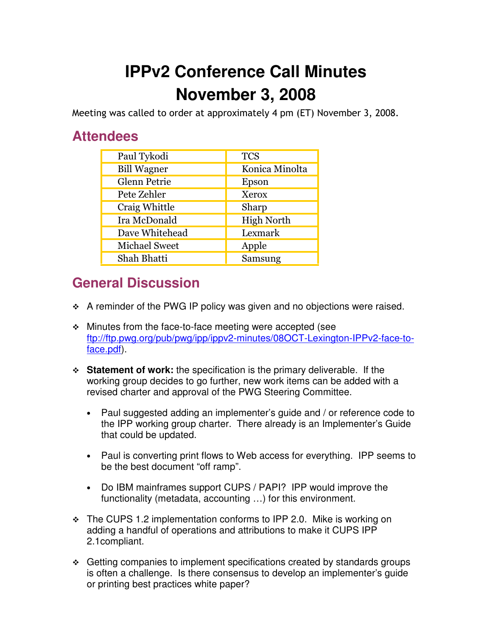## **IPPv2 Conference Call Minutes November 3, 2008**

Meeting was called to order at approximately 4 pm (ET) November 3, 2008.

## **Attendees**

| Paul Tykodi          | <b>TCS</b>        |
|----------------------|-------------------|
| <b>Bill Wagner</b>   | Konica Minolta    |
| Glenn Petrie         | Epson             |
| Pete Zehler          | Xerox             |
| Craig Whittle        | Sharp             |
| Ira McDonald         | <b>High North</b> |
| Dave Whitehead       | Lexmark           |
| <b>Michael Sweet</b> | Apple             |
| Shah Bhatti          | Samsung           |

## **General Discussion**

- A reminder of the PWG IP policy was given and no objections were raised.
- Minutes from the face-to-face meeting were accepted (see ftp://ftp.pwg.org/pub/pwg/ipp/ippv2-minutes/08OCT-Lexington-IPPv2-face-toface.pdf).
- **Statement of work:** the specification is the primary deliverable. If the working group decides to go further, new work items can be added with a revised charter and approval of the PWG Steering Committee.
	- Paul suggested adding an implementer's guide and / or reference code to the IPP working group charter. There already is an Implementer's Guide that could be updated.
	- Paul is converting print flows to Web access for everything. IPP seems to be the best document "off ramp".
	- Do IBM mainframes support CUPS / PAPI? IPP would improve the functionality (metadata, accounting …) for this environment.
- \* The CUPS 1.2 implementation conforms to IPP 2.0. Mike is working on adding a handful of operations and attributions to make it CUPS IPP 2.1compliant.
- ❖ Getting companies to implement specifications created by standards groups is often a challenge. Is there consensus to develop an implementer's guide or printing best practices white paper?